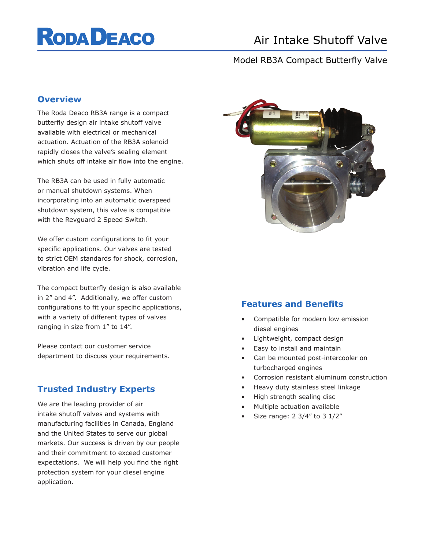# **RODA DEACO**

## Air Intake Shutoff Valve

## Model RB3A Compact Butterfly Valve

#### **Overview**

The Roda Deaco RB3A range is a compact butterfly design air intake shutoff valve available with electrical or mechanical actuation. Actuation of the RB3A solenoid rapidly closes the valve's sealing element which shuts off intake air flow into the engine.

The RB3A can be used in fully automatic or manual shutdown systems. When incorporating into an automatic overspeed shutdown system, this valve is compatible with the Revguard 2 Speed Switch.

We offer custom configurations to fit your specific applications. Our valves are tested to strict OEM standards for shock, corrosion, vibration and life cycle.

The compact butterfly design is also available in 2" and 4". Additionally, we offer custom configurations to fit your specific applications, with a variety of different types of valves ranging in size from 1" to 14".

Please contact our customer service department to discuss your requirements.

## **Trusted Industry Experts**

We are the leading provider of air intake shutoff valves and systems with manufacturing facilities in Canada, England and the United States to serve our global markets. Our success is driven by our people and their commitment to exceed customer expectations. We will help you find the right protection system for your diesel engine application.



#### **Features and Benefits**

- Compatible for modern low emission diesel engines
- Lightweight, compact design
- Easy to install and maintain
- Can be mounted post-intercooler on turbocharged engines
- Corrosion resistant aluminum construction
- Heavy duty stainless steel linkage
- High strength sealing disc
- Multiple actuation available
- Size range: 2 3/4" to 3 1/2"